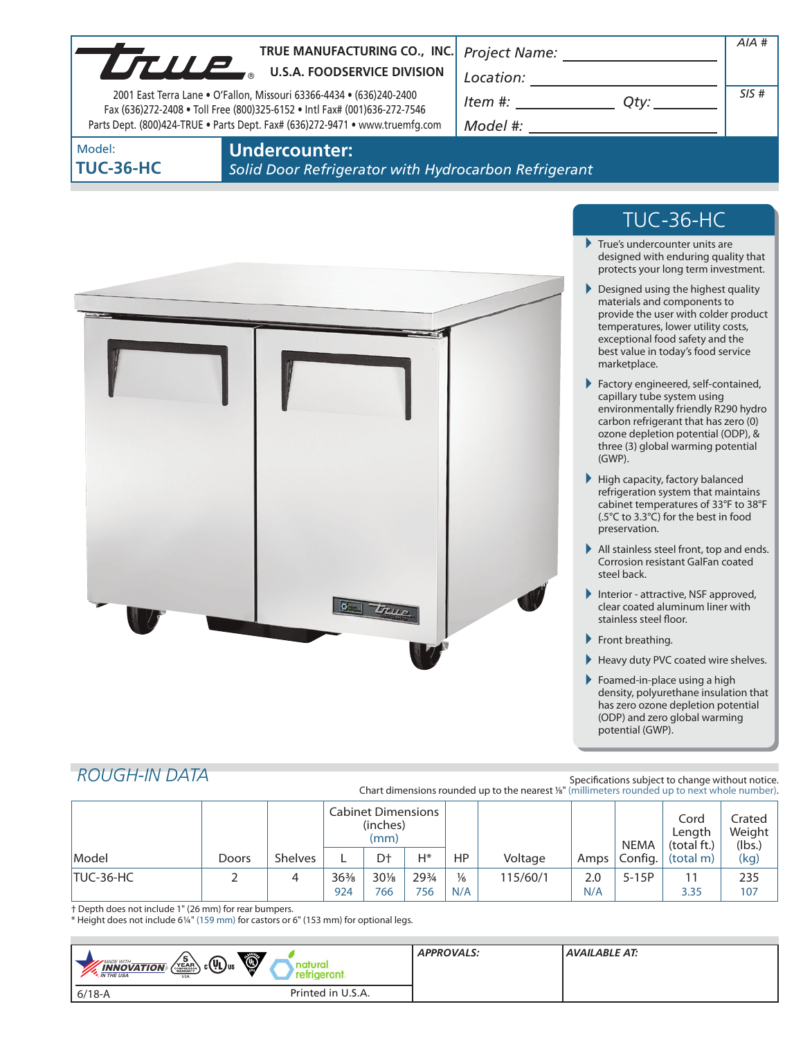|                            | TRUE MANUFACTURING CO., INC.<br>TRUE MANUFACTURING CO., INC<br>2001 East Terra Lane . O'Fallon, Missouri 63366-4434 . (636)240-2400<br>Fax (636)272-2408 . Toll Free (800)325-6152 . Intl Fax# (001)636-272-7546<br>Parts Dept. (800)424-TRUE . Parts Dept. Fax# (636)272-9471 . www.truemfg.com | Project Name: ___________<br>Location:<br>$Item #: __________ Qty: __________$                                                                                                                                                                                                                                                                                                                                                                    | AIA#<br>SIS# |
|----------------------------|--------------------------------------------------------------------------------------------------------------------------------------------------------------------------------------------------------------------------------------------------------------------------------------------------|---------------------------------------------------------------------------------------------------------------------------------------------------------------------------------------------------------------------------------------------------------------------------------------------------------------------------------------------------------------------------------------------------------------------------------------------------|--------------|
| Model:<br><b>TUC-36-HC</b> | <b>Undercounter:</b><br>Solid Door Refrigerator with Hydrocarbon Refrigerant                                                                                                                                                                                                                     |                                                                                                                                                                                                                                                                                                                                                                                                                                                   |              |
|                            |                                                                                                                                                                                                                                                                                                  | <b>TUC-36-HC</b><br>True's undercounter units are<br>designed with enduring quality that<br>protects your long term investment.<br>Designed using the highest quality<br>materials and components to<br>provide the user with colder product<br>temperatures, lower utility costs,<br>exceptional food safety and the<br>best value in today's food service<br>marketplace.<br>Factory engineered, self-contained,<br>capillary tube system using |              |

- environmentally friendly R290 hydro carbon refrigerant that has zero (0) ozone depletion potential (ODP), & three (3) global warming potential (GWP).
- $\blacktriangleright$  High capacity, factory balanced refrigeration system that maintains cabinet temperatures of 33°F to 38°F (.5°C to 3.3°C) for the best in food preservation.
- All stainless steel front, top and ends. Corrosion resistant GalFan coated steel back.
- Interior attractive, NSF approved, clear coated aluminum liner with stainless steel floor.
- Front breathing.
- Heavy duty PVC coated wire shelves.
- Foamed-in-place using a high density, polyurethane insulation that has zero ozone depletion potential (ODP) and zero global warming potential (GWP).

# *ROUGH-IN DATA*

Specifications subject to change without notice. Chart dimensions rounded up to the nearest <sup>1/8"</sup> (millimeters rounded up to next whole number).

|           |       |                | <b>Cabinet Dimensions</b><br>(inches)<br>(mm) |               |              |                      | NEMA     | Cord<br>Length<br>(total ft.) | Crated<br>Weight<br>(lbs.) |            |            |
|-----------|-------|----------------|-----------------------------------------------|---------------|--------------|----------------------|----------|-------------------------------|----------------------------|------------|------------|
| Model     | Doors | <b>Shelves</b> |                                               | D+            | $H^*$        | HP                   | Voltage  | Amps                          | Config.                    | (total m)  | (kg)       |
| TUC-36-HC |       |                | $36\%$<br>924                                 | $30\%$<br>766 | 293/4<br>756 | $\frac{1}{6}$<br>N/A | 115/60/1 | 2.0<br>N/A                    | $5-15P$                    | 11<br>3.35 | 235<br>107 |

 $\sigma$   $T_{true}$ 

† Depth does not include 1" (26 mm) for rear bumpers.

\* Height does not include 61/4" (159 mm) for castors or 6" (153 mm) for optional legs.

| $\bullet$<br>5<br>$\frac{1}{2}$ c( $\overline{4}$ ) us<br>MADE WITH_<br>$\sqrt{\text{VEAR} \sum_{\text{COMINANTY}}$<br>$\frac{INNOVATION}{IN THE USA}$<br><b>USA</b> | natural<br>refrigerant. | <b>APPROVALS:</b> | AVAILABLE AT: |
|----------------------------------------------------------------------------------------------------------------------------------------------------------------------|-------------------------|-------------------|---------------|
| $6/18 - A$                                                                                                                                                           | Printed in U.S.A.       |                   |               |